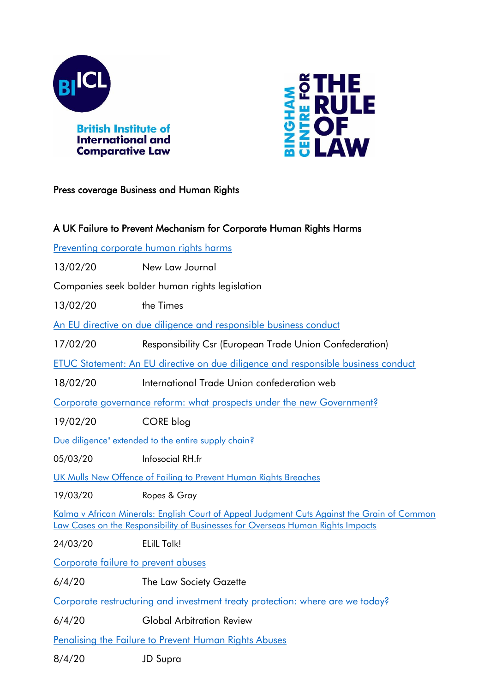



## Press coverage Business and Human Rights

| A UK Failure to Prevent Mechanism for Corporate Human Rights Harms                                                                                                             |                                                         |  |
|--------------------------------------------------------------------------------------------------------------------------------------------------------------------------------|---------------------------------------------------------|--|
| Preventing corporate human rights harms                                                                                                                                        |                                                         |  |
| 13/02/20                                                                                                                                                                       | New Law Journal                                         |  |
| Companies seek bolder human rights legislation                                                                                                                                 |                                                         |  |
| 13/02/20                                                                                                                                                                       | the Times                                               |  |
| An EU directive on due diligence and responsible business conduct                                                                                                              |                                                         |  |
| 17/02/20                                                                                                                                                                       | Responsibility Csr (European Trade Union Confederation) |  |
| <u>ETUC Statement: An EU directive on due diligence and responsible business conduct</u>                                                                                       |                                                         |  |
| 18/02/20                                                                                                                                                                       | International Trade Union confederation web             |  |
| Corporate governance reform: what prospects under the new Government?                                                                                                          |                                                         |  |
| 19/02/20                                                                                                                                                                       | CORE blog                                               |  |
| Due diligence" extended to the entire supply chain?                                                                                                                            |                                                         |  |
| 05/03/20                                                                                                                                                                       | Infosocial RH.fr                                        |  |
| UK Mulls New Offence of Failing to Prevent Human Rights Breaches                                                                                                               |                                                         |  |
| 19/03/20                                                                                                                                                                       | Ropes & Gray                                            |  |
| Kalma v African Minerals: English Court of Appeal Judgment Cuts Against the Grain of Common<br>Law Cases on the Responsibility of Businesses for Overseas Human Rights Impacts |                                                         |  |
| 24/03/20                                                                                                                                                                       | <b>ELilL Talk!</b>                                      |  |
| Corporate failure to prevent abuses                                                                                                                                            |                                                         |  |
| 6/4/20                                                                                                                                                                         | The Law Society Gazette                                 |  |
| Corporate restructuring and investment treaty protection: where are we today?                                                                                                  |                                                         |  |
| 6/4/20                                                                                                                                                                         | <b>Global Arbitration Review</b>                        |  |
| <b>Penalising the Failure to Prevent Human Rights Abuses</b>                                                                                                                   |                                                         |  |
| 8/4/20                                                                                                                                                                         | <b>JD Supra</b>                                         |  |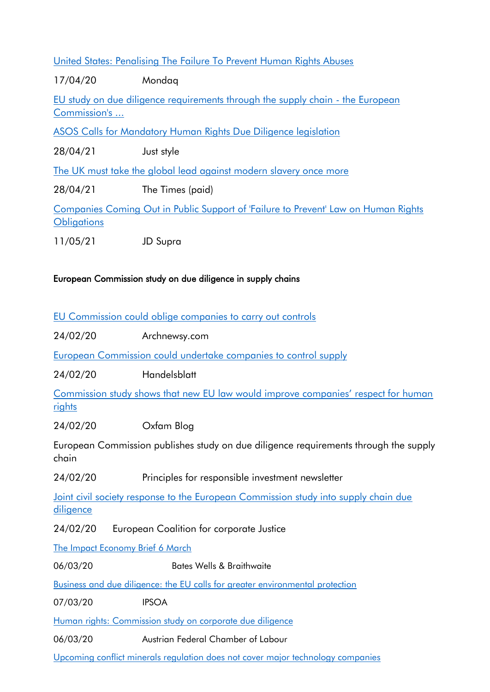[United States: Penalising The Failure To Prevent Human Rights Abuses](http://www.mondaq.com/Article/918574)

17/04/20 Mondaq [EU study on due diligence requirements through the supply chain -](https://www.lexology.com/library/detail.aspx?g=11db2e47-c3c1-408b-b027-9e982160a426) the European [Commission's ...](https://www.lexology.com/library/detail.aspx?g=11db2e47-c3c1-408b-b027-9e982160a426) [ASOS Calls for Mandatory Human Rights Due Diligence legislation](https://www.just-style.com/news/asos-calls-for-mandatory-human-rights-due-diligence-legislation_id141286.aspx) 28/04/21 Just style [The UK must take the global lead against modern slavery once more](https://www.thetimes.co.uk/article/the-uk-must-take-the-global-lead-against-modern-slavery-once-more-gs7jkr2zf) 28/04/21 The Times (paid) [Companies Coming Out in Public Support of 'Failure to Prevent' Law on Human Rights](https://www.jdsupra.com/legalnews/companies-coming-out-in-public-support-4234464/)  **[Obligations](https://www.jdsupra.com/legalnews/companies-coming-out-in-public-support-4234464/)** 

11/05/21 JD Supra

## European Commission study on due diligence in supply chains

[EU Commission could oblige companies to carry out controls](https://www.archynewsy.com/eu-commission-could-oblige-companies-to-carry-out-controls/)

24/02/20 Archnewsy.com

[European Commission could undertake companies to control supply](https://www.handelsblatt.com/politik/international/gueterproduktion-eu-kommission-koennte-firmen-zur-kontrolle-von-lieferketten-verpflichten/25576778.html?ticket=ST-9583755-p5doagHGdwmWR9ghs3wD-ap1)

24/02/20 Handelsblatt

[Commission study shows that new EU law would improve companies' respect for human](https://www.oxfam.org/en/press-releases/commission-study-shows-new-eu-law-would-improve-companies-respect-human-rights)  [rights](https://www.oxfam.org/en/press-releases/commission-study-shows-new-eu-law-would-improve-companies-respect-human-rights)

24/02/20 Oxfam Blog

European Commission publishes study on due diligence requirements through the supply chain

24/02/20 Principles for responsible investment newsletter

[Joint civil society response to the European Commission study into supply chain due](https://corporatejustice.org/news/16803-joint-civil-society-response-to-the-european-commission-study-into-supply-chain-due-diligence)  [diligence](https://corporatejustice.org/news/16803-joint-civil-society-response-to-the-european-commission-study-into-supply-chain-due-diligence)

24/02/20 European Coalition for corporate Justice

[The Impact Economy Brief 6 March](https://bateswells.co.uk/2020/03/the-impact-economy-brief-6-march/)

06/03/20 Bates Wells & Braithwaite

[Business and due diligence: the EU calls for greater environmental protection](https://www.ipsoa.it/documents/impresa/contratti-dimpresa/quotidiano/2020/03/07/imprese-due-diligence-ue-chiede-maggiori-tutele-ambiente)

07/03/20 IPSOA

[Human rights: Commission study on corporate due diligence](https://akeuropa.eu/de/menschenrechte-kommissionsstudie-zu-unternehmerischen-sorgfaltspflichten)

06/03/20 Austrian Federal Chamber of Labour

[Upcoming conflict minerals regulation does not cover major technology companies](https://www.computerweekly.com/feature/Upcoming-conflict-minerals-regulation-does-not-cover-major-technology-companies)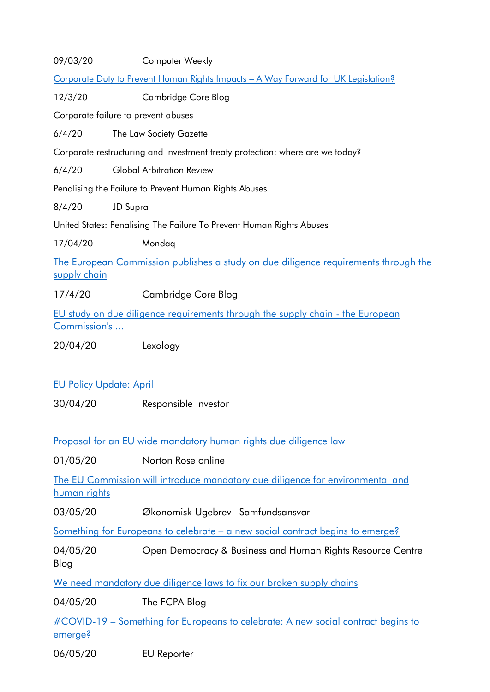| 09/03/20                                                                                       | Computer Weekly                                                                     |  |
|------------------------------------------------------------------------------------------------|-------------------------------------------------------------------------------------|--|
| Corporate Duty to Prevent Human Rights Impacts - A Way Forward for UK Legislation?             |                                                                                     |  |
| 12/3/20                                                                                        | Cambridge Core Blog                                                                 |  |
| Corporate failure to prevent abuses                                                            |                                                                                     |  |
| 6/4/20                                                                                         | The Law Society Gazette                                                             |  |
| Corporate restructuring and investment treaty protection: where are we today?                  |                                                                                     |  |
| 6/4/20                                                                                         | <b>Global Arbitration Review</b>                                                    |  |
|                                                                                                | Penalising the Failure to Prevent Human Rights Abuses                               |  |
| 8/4/20                                                                                         | <b>JD Supra</b>                                                                     |  |
|                                                                                                | United States: Penalising The Failure To Prevent Human Rights Abuses                |  |
| 17/04/20                                                                                       | Mondaq                                                                              |  |
| supply chain                                                                                   | The European Commission publishes a study on due diligence requirements through the |  |
| 17/4/20                                                                                        | Cambridge Core Blog                                                                 |  |
| EU study on due diligence requirements through the supply chain - the European<br>Commission's |                                                                                     |  |
| 20/04/20                                                                                       | Lexology                                                                            |  |
|                                                                                                |                                                                                     |  |
| <b>EU Policy Update: April</b>                                                                 |                                                                                     |  |
| 30/04/20                                                                                       | Responsible Investor                                                                |  |
| Proposal for an EU wide mandatory human rights due diligence law                               |                                                                                     |  |
| 01/05/20                                                                                       | Norton Rose online                                                                  |  |
| <u>human rights</u>                                                                            | The EU Commission will introduce mandatory due diligence for environmental and      |  |
| 03/05/20                                                                                       | Økonomisk Ugebrev - Samfundsansvar                                                  |  |
| <u>Something for Europeans to celebrate – a new social contract begins to emerge?</u>          |                                                                                     |  |
| 04/05/20<br>Blog                                                                               | Open Democracy & Business and Human Rights Resource Centre                          |  |
|                                                                                                | <u>We need mandatory due diligence laws to fix our broken supply chains</u>         |  |
| 04/05/20                                                                                       | The FCPA Blog                                                                       |  |
| emerge?                                                                                        | #COVID-19 – Something for Europeans to celebrate: A new social contract begins to   |  |
| 06/05/20                                                                                       | <b>EU</b> Reporter                                                                  |  |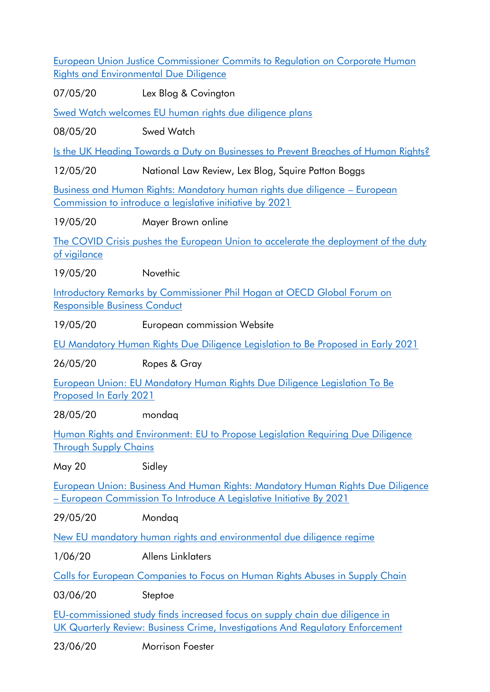[European Union Justice Commissioner Commits to Regulation on Corporate Human](https://www.lexblog.com/2020/05/07/european-union-justice-commissioner-commits-to-regulation-on-corporate-human-rights-and-environmental-due-diligence/)  [Rights and Environmental Due Diligence](https://www.lexblog.com/2020/05/07/european-union-justice-commissioner-commits-to-regulation-on-corporate-human-rights-and-environmental-due-diligence/)

07/05/20 Lex Blog & Covington

[Swed Watch welcomes EU human rights due diligence plans](https://swedwatch.org/themes/high-risk-and-conflict-areas/swedwatch-welcomes-plans-for-eu-human-rights-due-diligence-legislation/)

08/05/20 Swed Watch

[Is the UK Heading Towards a Duty on Businesses to Prevent Breaches of Human Rights?](https://www.natlawreview.com/article/uk-heading-towards-duty-businesses-to-prevent-breaches-human-rights)

12/05/20 National Law Review, Lex Blog, Squire Patton Boggs

[Business and Human Rights: Mandatory human rights due diligence](https://www.mayerbrown.com/en/perspectives-events/publications/2020/05/business-and-human-rights-mandatory-human-rights-due-diligence-european-commission-to-introduce-a-legislative-initiative-by-2021) – European [Commission to introduce a legislative initiative by 2021](https://www.mayerbrown.com/en/perspectives-events/publications/2020/05/business-and-human-rights-mandatory-human-rights-due-diligence-european-commission-to-introduce-a-legislative-initiative-by-2021)

19/05/20 Mayer Brown online

[The COVID Crisis pushes the European Union to accelerate the deployment of the duty](https://www.novethic.fr/actualite/entreprise-responsable/isr-rse/devoir-de-vigilance-la-crise-du-covid-19-accelere-son-etendue-a-l-union-europeenne-148542.html)  [of vigilance](https://www.novethic.fr/actualite/entreprise-responsable/isr-rse/devoir-de-vigilance-la-crise-du-covid-19-accelere-son-etendue-a-l-union-europeenne-148542.html)

19/05/20 Novethic

[Introductory Remarks by Commissioner Phil Hogan at OECD Global Forum on](https://ec.europa.eu/commission/commissioners/2019-2024/hogan/announcements/introductory-remarks-commissioner-phil-hogan-oecd-global-forum-responsible-business-conduct_en)  [Responsible Business Conduct](https://ec.europa.eu/commission/commissioners/2019-2024/hogan/announcements/introductory-remarks-commissioner-phil-hogan-oecd-global-forum-responsible-business-conduct_en)

19/05/20 European commission Website

[EU Mandatory Human Rights Due Diligence Legislation to Be Proposed in Early 2021](EU%20Mandatory%20Human%20Rights%20Due%20Diligence%20Legislation%20to%20Be%20Proposed%20in%20Early%202021)

26/05/20 Ropes & Gray

[European Union: EU Mandatory Human Rights Due Diligence Legislation To Be](http://www.mondaq.com/uk/human-rights/942268/eu-mandatory-human-rights-due-diligence-legislation-to-be-proposed-in-early-2021-)  [Proposed In Early 2021](http://www.mondaq.com/uk/human-rights/942268/eu-mandatory-human-rights-due-diligence-legislation-to-be-proposed-in-early-2021-)

28/05/20 mondaq

[Human Rights and Environment: EU to Propose Legislation Requiring Due Diligence](https://www.sidley.com/en/insights/publications/2020/05/human-rights-and-environment-eu-to-propose-legislation-requiring-due-diligence-through-supply-chains)  [Through Supply Chains](https://www.sidley.com/en/insights/publications/2020/05/human-rights-and-environment-eu-to-propose-legislation-requiring-due-diligence-through-supply-chains)

May 20 Sidley

[European Union: Business And Human Rights: Mandatory Human Rights Due Diligence](http://www.mondaq.com/uk/human-rights/943244/business-and-human-rights-mandatory-human-rights-due-diligence-european-commission-to-introduce-a-legislative-initiative-by-2021)  – [European Commission To Introduce A Legislative Initiative By 2021](http://www.mondaq.com/uk/human-rights/943244/business-and-human-rights-mandatory-human-rights-due-diligence-european-commission-to-introduce-a-legislative-initiative-by-2021)

29/05/20 Mondaq

[New EU mandatory human rights and environmental due diligence regime](https://www.allens.com.au/insights-news/insights/2020/06/new-eu-mandatory-human-rights-and-environmental-due-diligence-regime/)

1/06/20 Allens Linklaters

[Calls for European Companies to Focus on Human Rights Abuses in Supply Chain](https://www.lexology.com/library/detail.aspx?g=b3a6e1d1-f6d8-4123-9e03-18a264586d0a)

03/06/20 Steptoe

[EU-commissioned study finds increased focus on supply chain due diligence in](https://www.jdsupra.com/legalnews/uk-quarterly-review-business-crime-27707/)  [UK Quarterly Review: Business Crime, Investigations And Regulatory Enforcement](https://www.jdsupra.com/legalnews/uk-quarterly-review-business-crime-27707/)

23/06/20 Morrison Foester